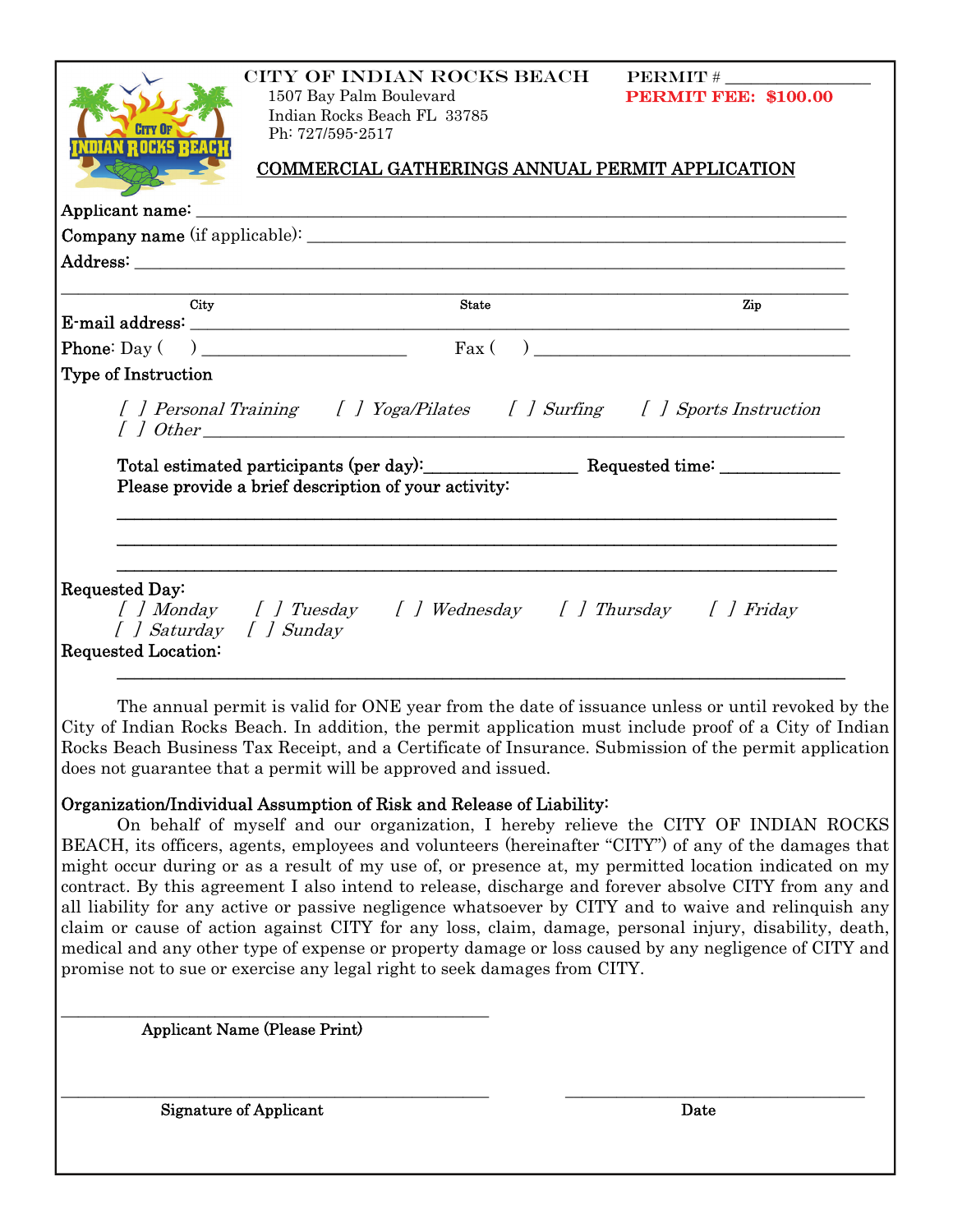| IAN ROCKS BEA                                                    | CITY OF INDIAN ROCKS BEACH<br>1507 Bay Palm Boulevard<br>Indian Rocks Beach FL 33785<br>Ph: 727/595-2517<br>COMMERCIAL GATHERINGS ANNUAL PERMIT APPLICATION                                                                                                                                                                       | $\bf PERMIT$ #<br><b>PERMIT FEE: \$100.00</b> |
|------------------------------------------------------------------|-----------------------------------------------------------------------------------------------------------------------------------------------------------------------------------------------------------------------------------------------------------------------------------------------------------------------------------|-----------------------------------------------|
|                                                                  |                                                                                                                                                                                                                                                                                                                                   |                                               |
|                                                                  |                                                                                                                                                                                                                                                                                                                                   |                                               |
|                                                                  | Address: the contract of the contract of the contract of the contract of the contract of the contract of the contract of the contract of the contract of the contract of the contract of the contract of the contract of the c                                                                                                    |                                               |
|                                                                  |                                                                                                                                                                                                                                                                                                                                   |                                               |
| City                                                             | <b>State</b>                                                                                                                                                                                                                                                                                                                      | Zip                                           |
|                                                                  | <b>Phone:</b> Day $\begin{pmatrix} 0 & 0 & 0 \\ 0 & 0 & 0 \\ 0 & 0 & 0 \\ 0 & 0 & 0 \\ 0 & 0 & 0 \\ 0 & 0 & 0 \\ 0 & 0 & 0 \\ 0 & 0 & 0 \\ 0 & 0 & 0 \\ 0 & 0 & 0 \\ 0 & 0 & 0 \\ 0 & 0 & 0 & 0 \\ 0 & 0 & 0 & 0 \\ 0 & 0 & 0 & 0 \\ 0 & 0 & 0 & 0 & 0 \\ 0 & 0 & 0 & 0 & 0 \\ 0 & 0 & 0 & 0 & 0 \\ 0 & 0 & 0 & 0 & 0 & 0 \\ 0 &$ |                                               |
| <b>Type of Instruction</b>                                       |                                                                                                                                                                                                                                                                                                                                   |                                               |
|                                                                  | [ ] Personal Training [ ] Yoga/Pilates [ ] Surfing [ ] Sports Instruction<br>$\int$ dther                                                                                                                                                                                                                                         |                                               |
|                                                                  | Total estimated participants (per day): Requested time: ________________________<br>Please provide a brief description of your activity:                                                                                                                                                                                          |                                               |
| Requested Day:<br>[ ] Saturday [ ] Sunday<br>Requested Location: | [ ] Monday [ ] Tuesday [ ] Wednesday [ ] Thursday [ ] Friday                                                                                                                                                                                                                                                                      |                                               |

 The annual permit is valid for ONE year from the date of issuance unless or until revoked by the City of Indian Rocks Beach. In addition, the permit application must include proof of a City of Indian Rocks Beach Business Tax Receipt, and a Certificate of Insurance. Submission of the permit application does not guarantee that a permit will be approved and issued.

## Organization/Individual Assumption of Risk and Release of Liability:

 On behalf of myself and our organization, I hereby relieve the CITY OF INDIAN ROCKS BEACH, its officers, agents, employees and volunteers (hereinafter "CITY") of any of the damages that might occur during or as a result of my use of, or presence at, my permitted location indicated on my contract. By this agreement I also intend to release, discharge and forever absolve CITY from any and all liability for any active or passive negligence whatsoever by CITY and to waive and relinquish any claim or cause of action against CITY for any loss, claim, damage, personal injury, disability, death, medical and any other type of expense or property damage or loss caused by any negligence of CITY and promise not to sue or exercise any legal right to seek damages from CITY.

\_\_\_\_\_\_\_\_\_\_\_\_\_\_\_\_\_\_\_\_\_\_\_\_\_\_\_\_\_\_\_\_\_\_\_\_\_\_\_\_\_\_\_\_\_\_\_\_\_\_ \_\_\_\_\_\_\_\_\_\_\_\_\_\_\_\_\_\_\_\_\_\_\_\_\_\_\_\_\_\_\_\_\_\_\_

Applicant Name (Please Print)

\_\_\_\_\_\_\_\_\_\_\_\_\_\_\_\_\_\_\_\_\_\_\_\_\_\_\_\_\_\_\_\_\_\_\_\_\_\_\_\_\_\_\_\_\_\_\_\_\_\_

Signature of Applicant Date